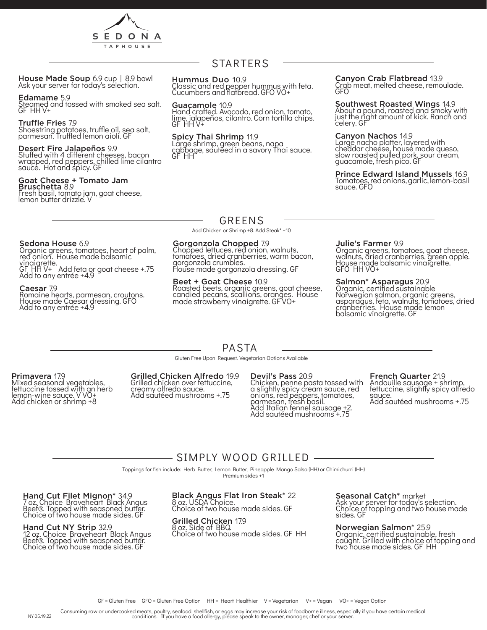

House Made Soup 6.9 cup | 8.9 bowl<br>Ask your server for today's selection.

#### Edamame 5.9

Steamed and tossed with smoked sea salt. GF HH V+

#### Truffle Fries 7.9

Shoestring potatoes, truffle oil, sea salt, parmesan. Truffled lemon aioli. GF

#### Desert Fire Jalapeños 9.9

Stuffed with 4 different cheeses, bacon wrapped, red peppers, chilled lime cilantro sauce. Hot and spicy. GF

#### Goat Cheese + Tomato Jam Bruschetta 8.9

Fresh basil, tomato jam, goat cheese, lemon butter drizzle. V

# STARTERS

#### Hummus Duo 10.9

Classic and red pepper hummus with feta. Cucumbers and flatbread. GFO VO+

#### Guacamole 10.9

Hand crafted. Avocado, red onion, tomato, lime, jalapeños, cilantro. Corn tortilla chips. GF HH V+

#### Spicy Thai Shrimp 11.9

Large shrimp, green beans, napa cabbage, sautéed in a savory Thai sauce. GF HH

#### Canyon Crab Flatbread 13.9

Crab meat, melted cheese, remoulade. GFO

#### Southwest Roasted Wings 14.9 About a pound, roasted and smoky with just the right amount of kick. Ranch and celery. GF

## Canyon Nachos 14.9

Large nacho platter, layered with cheddar cheese, house made queso, slow roasted pulled pork, sour cream, guacamole, fresh pico. GF

#### Prince Edward Island Mussels 16.9

Tomatoes, red onions, garlic, lemon- basil sauce. GFO

### GREENS

Add Chicken or Shrimp +8. Add Steak\* +10

#### Gorgonzola Chopped 7.9

Chopped lettuces, red onion, walnuts, tomatoes, dried cranberries, warm bacon, gorgonzola crumbles. House made gorgonzola dressing. GF

#### Beet + Goat Cheese 10.9

Roasted beets, organic greens, goat cheese, candied pecans, scallions, oranges. House made strawberry vinaigrette. GF VO+

#### Julie's Farmer 9.9

Organic greens, tomatoes, goat cheese, walnuts, dried cranberries, green apple. House made balsamic vinaigrette. GFO HH VO+

#### Salmon\* Asparagus 20.9

Organic, certified sustainable Norwegian salmon, organic greens, asparagus, feta, walnuts, tomatoes, dried cranberries. House made lemon balsamic vinaigrette. GF

## Sedona House 6.9

Organic greens, tomatoes, heart of palm, red onion. House made balsamic vinaigrette.

GF HH V+ | Add feta or goat cheese +.75 Add to any entrée +4.9

#### Caesar 7.9

Romaine hearts, parmesan, croutons. House made Caesar dressing. GFO Add to any entrée +4.9

# PASTA

Gluten Free Upon Request. Vegetarian Options Available

#### Primavera 17.9

Mixed seasonal vegetables, fettuccine tossed with an herb lemon-wine sauce. V VO+ Add chicken or shrimp +8

#### Grilled Chicken Alfredo 19.9 Grilled chicken over fettuccine,

creamy alfredo sauce. Add sautéed mushrooms +.75

#### Devil's Pass 20.9

Chicken, penne pasta tossed with a slightly spicy cream sauce, red onions, red peppers, tomatoes, parmesan, fresh basil. Add Italian fennel sausage +2. Add sautéed mushrooms +.75

## French Quarter 21.9

Andouille sausage + shrimp, fettuccine, slightly spicy alfredo sauce. Add sautéed mushrooms +.75

# - SIMPLY WOOD GRILLED -

Toppings for fish include: Herb Butter, Lemon Butter, Pineapple Mango Salsa (HH) or Chimichurri (HH)

Premium sides +1

Hand Cut Filet Mignon\* 34.9 7 oz. Choice Braveheart Black Angus Beef®. Topped with seasoned butter. Choice of two house made sides. GF

#### Hand Cut NY Strip 32.9

12 oz. Choice Braveheart Black Angus Beef®. Topped with seasoned butter. Choice of two house made sides. GF

#### Black Angus Flat Iron Steak\* 22 8 oz. USDA Choice.

Choice of two house made sides. GF

#### Grilled Chicken 17.9

8 oz. Side of BBQ. Choice of two house made sides. GF HH

Seasonal Catch\* market Ask your server for today's selection. Choice of topping and two house made sides. GF

Norwegian Salmon\* 25.9 Organic, certified sustainable, fresh caught. Grilled with choice of topping and two house made sides. GF HH

Consuming raw or undercooked meats, poultry, seafood, shellfish, or eggs may increase your risk of foodborne illness, especially if you have certain medical<br>conditions. If you have a food allergy, please speak to the owner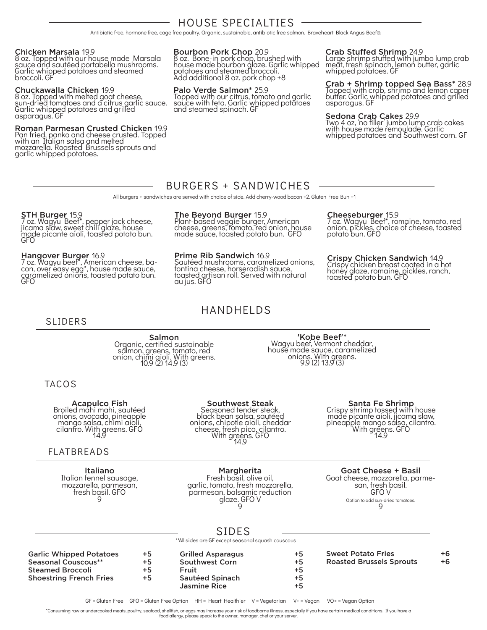# HOUSE SPECIALTIES

Antibiotic free, hormone free, cage free poultry. Organic, sustainable, antibiotic free salmon. Braveheart Black Angus Beef®.

#### Chicken Marsala 19.9

8 oz. Topped with our house made Marsala sauce and sautéed portabella mushrooms. Garlic whipped potatoes and steamed broccoli. GF

#### Chuckawalla Chicken 19.9

8 oz. Topped with melted goat cheese, sun-dried tomatoes and a citrus garlic sauce. Garlic whipped potatoes and grilled asparagus. GF

#### Roman Parmesan Crusted Chicken 19.9

Pan fried, panko and cheese crusted. Topped with an Italian salsa and melted mozzarella. Roasted Brussels sprouts and garlic whipped potatoes.

Bourbon Pork Chop 20.9

8 oz. Bone-in pork chop, brushed with house made bourbon glaze. Garlic whipped potatoes and steamed broccoli. Add additional 8 oz. pork chop +8

#### Palo Verde Salmon\* 25.9

Topped with our citrus, tomato and garlic sauce with feta. Garlic whipped potatoes and steamed spinach. GF

#### Crab Stuffed Shrimp 24.9

Cheeseburger<sub>, 15.9</sub>

toasted potato bun. GFO

potato bun. GFO

Large shrimp stuffed with jumbo lump crab meat, fresh spinach, lemon butter, garlic whipped potatoes. GF

Crab + Shrimp topped Sea Bass\* 28.9 Topped with crab, shrimp and lemon caper butter. Garlic whipped potatoes and grilled asparagus. GF

**Sedona Crab Cakes** 29.9<br>Two 4 oz, 'no filler' jumbo lump crab cakes with house made remoulade. Garlic whipped potatoes and Southwest corn. GF

7 oz. Wagyu Beef\*, romaine, tomato, red onion, pickles, choice of cheese, toasted

Crispy Chicken Sandwich 14.9 Crispy chicken breast coated in a hot honey glaze, romaine, pickles, ranch,

## BURGERS + SANDWICHES

All burgers + sandwiches are served with choice of side. Add cherry-wood bacon +2. Gluten Free Bun +1

#### **STH Burger 15.9**

7 oz. Wagyu Beef\*, pepper jack cheese, jicama slaw, sweet chili glaze, house made picante aioli, toasted potato bun. GFO

Hangover Burger 16.9 7 oz. Wagyu beef\*, American cheese, ba- con, over easy egg\*, house made sauce, caramelized onions, toasted potato bun. GFO

#### The Beyond Burger 15.9

Plant-based veggie burger, American cheese, greens, tomato, red onion, house made sauce, toasted potato bun. GFO

### Prime Rib Sandwich 16.9

Sautéed mushrooms, caramelized onions, fontina cheese, horseradish sauce, toasted artisan roll. Served with natural au jus. GFO

# HANDHELDS

### SLIDERS

Salmon Organic, certified sustainable salmon, greens, tomato, red onion, chimi aioli. With greens. 10.9 (2) 14.9 (3)

'Kobe Beef'\* Wagyu beef, Vermont cheddar, house made sauce, caramelized onions. With greens. 9.9 (2) 13.9 (3)

### TACOS

**Acapulco Fish**<br>Broiled mahi mahi, sautéed onions, avocado, pineapple mango salsa, chimi aioli, cilantro. With greens. GFO 14.9

### FLATBREADS

Italiano Italian fennel sausage, mozzarella, parmesan, fresh basil. GFO 9

### Southwest Steak

Seasoned tender steak, black bean salsa, sautéed onions, chipotle aioli, cheddar cheese, fresh pico, cilantro. With greens. GFO 14.9

Margherita

Fresh basil, olive oil, garlic, tomato, fresh mozzarella, parmesan, balsamic reduction glaze. GFO V 9

**Santa Fe Shrimp**<br>Crispy shrimp tossed with house made picante aioli, jicama slaw, pineapple mango salsa, cilantro. With greens. GFO 14.9

#### Goat Cheese + Basil

Goat cheese, mozzarella, parme- san, fresh basil. GFO V Option to add sun-dried tomatoes.  $\mathsf{Q}$ 

# SIDES

\*\*All sides are GF except seasonal squash couscous

| <b>Garlic Whipped Potatoes</b> | $+5$ | <b>Grilled Asparagus</b> | $+5$ | <b>Sweet Potato Fries</b>       | +6 |
|--------------------------------|------|--------------------------|------|---------------------------------|----|
| Seasonal Couscous**            | +5   | <b>Southwest Corn</b>    | $+5$ | <b>Roasted Brussels Sprouts</b> | +6 |
| <b>Steamed Broccoli</b>        | +5   | Fruit                    | +5   |                                 |    |
| <b>Shoestring French Fries</b> | $+5$ | Sautéed Spinach          | +5   |                                 |    |
|                                |      | Jasmine Rice             | +5   |                                 |    |
|                                |      |                          |      |                                 |    |

GF = Gluten Free GFO = Gluten Free Option HH = Heart Healthier V = Vegetarian V+ = Vegan VO+ = Vegan Option

\*Consuming raw or undercooked meats, poultry, seafood, shellfish, or eggs may increase your risk of foodborne illness, especially if you have certain medical conditions. If you have a

food allergy, please speak to the owner, manager, chef or your server.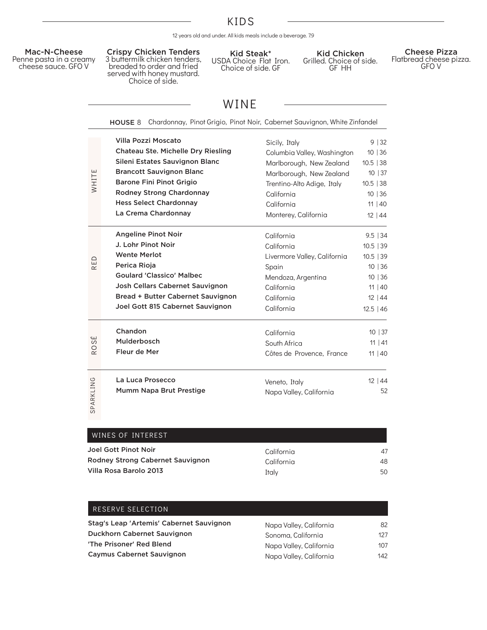# KIDS

12 years old and under. All kids meals include a beverage. 7.9

#### Mac-N-Cheese Penne pasta in a creamy

cheese sauce. GFO V

Crispy Chicken Tenders 3 buttermilk chicken tenders, breaded to order and fried served with honey mustard. Choice of side.

Kid Steak\* USDA Choice Flat Iron. Choice of side. GF

Kid Chicken Grilled. Choice of side. GF HH

Cheese Pizza Flatbread cheese pizza. GFO V

# WINE

|                | Chardonnay, Pinot Grigio, Pinot Noir, Cabernet Sauvignon, White Zinfandel<br>HOUSE 8 |                              |              |
|----------------|--------------------------------------------------------------------------------------|------------------------------|--------------|
| WHITE          | <b>Villa Pozzi Moscato</b>                                                           | Sicily, Italy                | 9 32         |
|                | Chateau Ste. Michelle Dry Riesling                                                   | Columbia Valley, Washington  | 10 36        |
|                | Sileni Estates Sauvignon Blanc                                                       | Marlborough, New Zealand     | $10.5$ 38    |
|                | <b>Brancott Sauvignon Blanc</b>                                                      | Marlborough, New Zealand     | 10   37      |
|                | <b>Barone Fini Pinot Grigio</b>                                                      | Trentino-Alto Adige, Italy   | $10.5$   38  |
|                | Rodney Strong Chardonnay                                                             | California                   | 10 36        |
|                | <b>Hess Select Chardonnay</b>                                                        | California                   | 11   40      |
|                | La Crema Chardonnay                                                                  | Monterey, California         | $12 \mid 44$ |
| RED            | <b>Angeline Pinot Noir</b>                                                           | California                   | $9.5$   34   |
|                | J. Lohr Pinot Noir                                                                   | California                   | $10.5$   39  |
|                | <b>Wente Merlot</b>                                                                  | Livermore Valley, California | 10.5   39    |
|                | Perica Rioja                                                                         | Spain                        | 10 36        |
|                | <b>Goulard 'Classico' Malbec</b>                                                     | Mendoza, Argentina           | 10 36        |
|                | Josh Cellars Cabernet Sauvignon                                                      | California                   | 11   40      |
|                | Bread + Butter Cabernet Sauvignon                                                    | California                   | 12   44      |
|                | Joel Gott 815 Cabernet Sauvignon                                                     | California                   | $12.5$   46  |
| سا             | Chandon                                                                              | California                   | 10   37      |
| S              | Mulderbosch                                                                          | South Africa                 | 11   41      |
| R <sub>O</sub> | Fleur de Mer                                                                         | Côtes de Provence, France    | 11   40      |
| SPARKLING      | La Luca Prosecco                                                                     | Veneto, Italy                | 12 44        |
|                | Mumm Napa Brut Prestige                                                              | Napa Valley, California      | 52           |
|                | WINES OF INTEREST                                                                    |                              |              |
|                | Joel Gott Pinot Noir                                                                 | California                   | 47           |
|                | Rodney Strong Cabernet Sauvignon                                                     | California                   | 48           |
|                | Villa Rosa Barolo 2013                                                               | Italy                        | 50           |
|                | RESERVE SELECTION                                                                    |                              |              |

| WINES OF INTEREST                |            |    |
|----------------------------------|------------|----|
| Joel Gott Pinot Noir             | California | 47 |
| Rodney Strong Cabernet Sauvignon | California | 48 |
| Villa Rosa Barolo 2013           | Italy      | 50 |
|                                  |            |    |

| Stag's Leap 'Artemis' Cabernet Sauvignon | Napa Valley, California | 82  |
|------------------------------------------|-------------------------|-----|
| Duckhorn Cabernet Sauvignon              | Sonoma, California      | 127 |
| 'The Prisoner' Red Blend                 | Napa Valley, California | 107 |
| <b>Caymus Cabernet Sauvignon</b>         | Napa Valley, California | 142 |